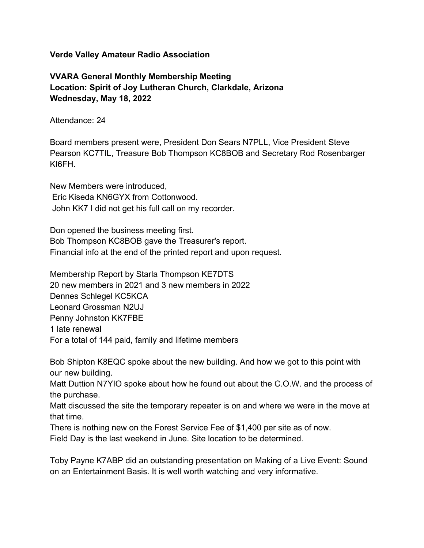## **Verde Valley Amateur Radio Association**

**VVARA General Monthly Membership Meeting Location: Spirit of Joy Lutheran Church, Clarkdale, Arizona Wednesday, May 18, 2022**

Attendance: 24

Board members present were, President Don Sears N7PLL, Vice President Steve Pearson KC7TIL, Treasure Bob Thompson KC8BOB and Secretary Rod Rosenbarger KI6FH.

New Members were introduced, Eric Kiseda KN6GYX from Cottonwood. John KK7 I did not get his full call on my recorder.

Don opened the business meeting first. Bob Thompson KC8BOB gave the Treasurer's report. Financial info at the end of the printed report and upon request.

Membership Report by Starla Thompson KE7DTS 20 new members in 2021 and 3 new members in 2022 Dennes Schlegel KC5KCA Leonard Grossman N2UJ Penny Johnston KK7FBE 1 late renewal For a total of 144 paid, family and lifetime members

Bob Shipton K8EQC spoke about the new building. And how we got to this point with our new building.

Matt Duttion N7YIO spoke about how he found out about the C.O.W. and the process of the purchase.

Matt discussed the site the temporary repeater is on and where we were in the move at that time.

There is nothing new on the Forest Service Fee of \$1,400 per site as of now.

Field Day is the last weekend in June. Site location to be determined.

Toby Payne K7ABP did an outstanding presentation on Making of a Live Event: Sound on an Entertainment Basis. It is well worth watching and very informative.